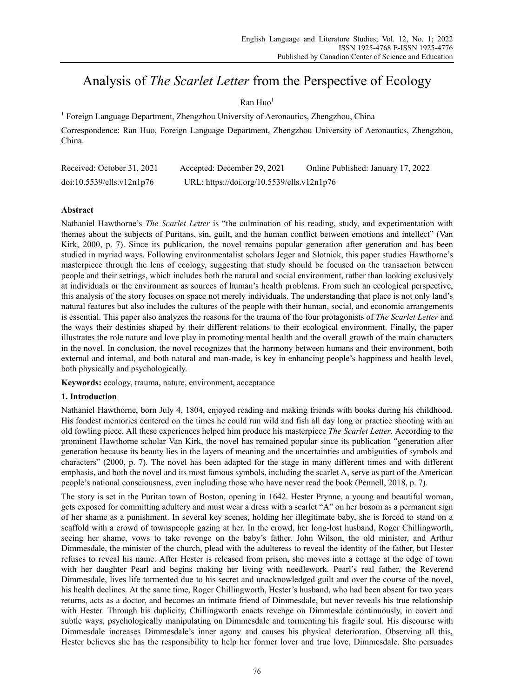# Analysis of *The Scarlet Letter* from the Perspective of Ecology

# $\n **Run** <sup>1</sup>\n$

<sup>1</sup> Foreign Language Department, Zhengzhou University of Aeronautics, Zhengzhou, China

Correspondence: Ran Huo, Foreign Language Department, Zhengzhou University of Aeronautics, Zhengzhou, China.

| Received: October 31, 2021 | Accepted: December 29, 2021                | Online Published: January 17, 2022 |
|----------------------------|--------------------------------------------|------------------------------------|
| doi:10.5539/ells.v12n1p76  | URL: https://doi.org/10.5539/ells.v12n1p76 |                                    |

# **Abstract**

Nathaniel Hawthorne's *The Scarlet Letter* is "the culmination of his reading, study, and experimentation with themes about the subjects of Puritans, sin, guilt, and the human conflict between emotions and intellect" (Van Kirk, 2000, p. 7). Since its publication, the novel remains popular generation after generation and has been studied in myriad ways. Following environmentalist scholars Jeger and Slotnick, this paper studies Hawthorne's masterpiece through the lens of ecology, suggesting that study should be focused on the transaction between people and their settings, which includes both the natural and social environment, rather than looking exclusively at individuals or the environment as sources of human's health problems. From such an ecological perspective, this analysis of the story focuses on space not merely individuals. The understanding that place is not only land's natural features but also includes the cultures of the people with their human, social, and economic arrangements is essential. This paper also analyzes the reasons for the trauma of the four protagonists of *The Scarlet Letter* and the ways their destinies shaped by their different relations to their ecological environment. Finally, the paper illustrates the role nature and love play in promoting mental health and the overall growth of the main characters in the novel. In conclusion, the novel recognizes that the harmony between humans and their environment, both external and internal, and both natural and man-made, is key in enhancing people's happiness and health level, both physically and psychologically.

**Keywords:** ecology, trauma, nature, environment, acceptance

# **1. Introduction**

Nathaniel Hawthorne, born July 4, 1804, enjoyed reading and making friends with books during his childhood. His fondest memories centered on the times he could run wild and fish all day long or practice shooting with an old fowling piece. All these experiences helped him produce his masterpiece *The Scarlet Letter*. According to the prominent Hawthorne scholar Van Kirk, the novel has remained popular since its publication "generation after generation because its beauty lies in the layers of meaning and the uncertainties and ambiguities of symbols and characters" (2000, p. 7). The novel has been adapted for the stage in many different times and with different emphasis, and both the novel and its most famous symbols, including the scarlet A, serve as part of the American people's national consciousness, even including those who have never read the book (Pennell, 2018, p. 7).

The story is set in the Puritan town of Boston, opening in 1642. Hester Prynne, a young and beautiful woman, gets exposed for committing adultery and must wear a dress with a scarlet "A" on her bosom as a permanent sign of her shame as a punishment. In several key scenes, holding her illegitimate baby, she is forced to stand on a scaffold with a crowd of townspeople gazing at her. In the crowd, her long-lost husband, Roger Chillingworth, seeing her shame, vows to take revenge on the baby's father. John Wilson, the old minister, and Arthur Dimmesdale, the minister of the church, plead with the adulteress to reveal the identity of the father, but Hester refuses to reveal his name. After Hester is released from prison, she moves into a cottage at the edge of town with her daughter Pearl and begins making her living with needlework. Pearl's real father, the Reverend Dimmesdale, lives life tormented due to his secret and unacknowledged guilt and over the course of the novel, his health declines. At the same time, Roger Chillingworth, Hester's husband, who had been absent for two years returns, acts as a doctor, and becomes an intimate friend of Dimmesdale, but never reveals his true relationship with Hester. Through his duplicity, Chillingworth enacts revenge on Dimmesdale continuously, in covert and subtle ways, psychologically manipulating on Dimmesdale and tormenting his fragile soul. His discourse with Dimmesdale increases Dimmesdale's inner agony and causes his physical deterioration. Observing all this, Hester believes she has the responsibility to help her former lover and true love, Dimmesdale. She persuades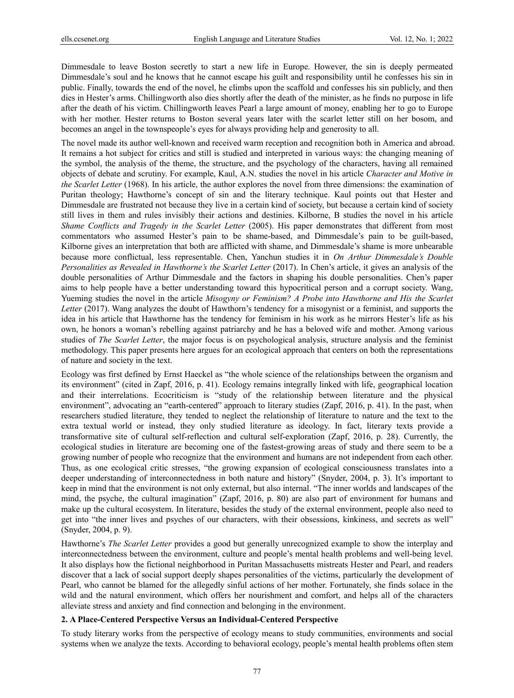Dimmesdale to leave Boston secretly to start a new life in Europe. However, the sin is deeply permeated Dimmesdale's soul and he knows that he cannot escape his guilt and responsibility until he confesses his sin in public. Finally, towards the end of the novel, he climbs upon the scaffold and confesses his sin publicly, and then dies in Hester's arms. Chillingworth also dies shortly after the death of the minister, as he finds no purpose in life after the death of his victim. Chillingworth leaves Pearl a large amount of money, enabling her to go to Europe with her mother. Hester returns to Boston several years later with the scarlet letter still on her bosom, and becomes an angel in the townspeople's eyes for always providing help and generosity to all.

The novel made its author well-known and received warm reception and recognition both in America and abroad. It remains a hot subject for critics and still is studied and interpreted in various ways: the changing meaning of the symbol, the analysis of the theme, the structure, and the psychology of the characters, having all remained objects of debate and scrutiny. For example, Kaul, A.N. studies the novel in his article *Character and Motive in the Scarlet Letter* (1968). In his article, the author explores the novel from three dimensions: the examination of Puritan theology; Hawthorne's concept of sin and the literary technique. Kaul points out that Hester and Dimmesdale are frustrated not because they live in a certain kind of society, but because a certain kind of society still lives in them and rules invisibly their actions and destinies. Kilborne, B studies the novel in his article *Shame Conflicts and Tragedy in the Scarlet Letter* (2005). His paper demonstrates that different from most commentators who assumed Hester's pain to be shame-based, and Dimmesdale's pain to be guilt-based, Kilborne gives an interpretation that both are afflicted with shame, and Dimmesdale's shame is more unbearable because more conflictual, less representable. Chen, Yanchun studies it in *On Arthur Dimmesdale's Double Personalities as Revealed in Hawthorne's the Scarlet Letter* (2017). In Chen's article, it gives an analysis of the double personalities of Arthur Dimmesdale and the factors in shaping his double personalities. Chen's paper aims to help people have a better understanding toward this hypocritical person and a corrupt society. Wang, Yueming studies the novel in the article *Misogyny or Feminism? A Probe into Hawthorne and His the Scarlet Letter* (2017). Wang analyzes the doubt of Hawthorn's tendency for a misogynist or a feminist, and supports the idea in his article that Hawthorne has the tendency for feminism in his work as he mirrors Hester's life as his own, he honors a woman's rebelling against patriarchy and he has a beloved wife and mother. Among various studies of *The Scarlet Letter*, the major focus is on psychological analysis, structure analysis and the feminist methodology. This paper presents here argues for an ecological approach that centers on both the representations of nature and society in the text.

Ecology was first defined by Ernst Haeckel as "the whole science of the relationships between the organism and its environment" (cited in Zapf, 2016, p. 41). Ecology remains integrally linked with life, geographical location and their interrelations. Ecocriticism is "study of the relationship between literature and the physical environment", advocating an "earth-centered" approach to literary studies (Zapf, 2016, p. 41). In the past, when researchers studied literature, they tended to neglect the relationship of literature to nature and the text to the extra textual world or instead, they only studied literature as ideology. In fact, literary texts provide a transformative site of cultural self-reflection and cultural self-exploration (Zapf, 2016, p. 28). Currently, the ecological studies in literature are becoming one of the fastest-growing areas of study and there seem to be a growing number of people who recognize that the environment and humans are not independent from each other. Thus, as one ecological critic stresses, "the growing expansion of ecological consciousness translates into a deeper understanding of interconnectedness in both nature and history" (Snyder, 2004, p. 3). It's important to keep in mind that the environment is not only external, but also internal. "The inner worlds and landscapes of the mind, the psyche, the cultural imagination" (Zapf, 2016, p. 80) are also part of environment for humans and make up the cultural ecosystem. In literature, besides the study of the external environment, people also need to get into "the inner lives and psyches of our characters, with their obsessions, kinkiness, and secrets as well" (Snyder, 2004, p. 9).

Hawthorne's *The Scarlet Letter* provides a good but generally unrecognized example to show the interplay and interconnectedness between the environment, culture and people's mental health problems and well-being level. It also displays how the fictional neighborhood in Puritan Massachusetts mistreats Hester and Pearl, and readers discover that a lack of social support deeply shapes personalities of the victims, particularly the development of Pearl, who cannot be blamed for the allegedly sinful actions of her mother. Fortunately, she finds solace in the wild and the natural environment, which offers her nourishment and comfort, and helps all of the characters alleviate stress and anxiety and find connection and belonging in the environment.

#### **2. A Place-Centered Perspective Versus an Individual-Centered Perspective**

To study literary works from the perspective of ecology means to study communities, environments and social systems when we analyze the texts. According to behavioral ecology, people's mental health problems often stem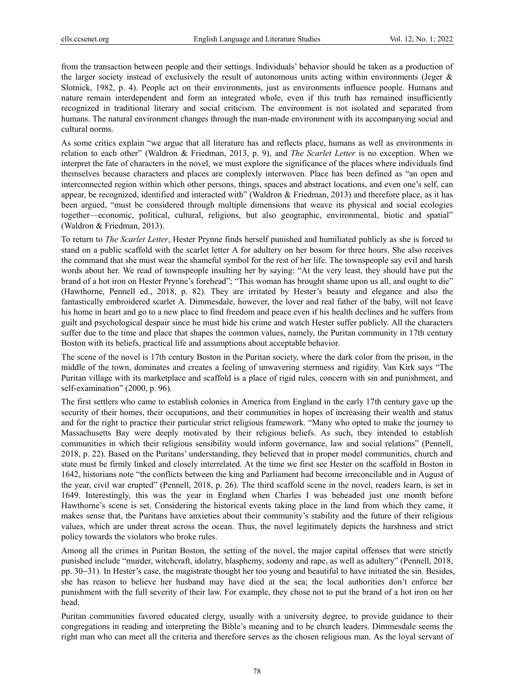from the transaction between people and their settings. Individuals' behavior should be taken as a production of the larger society instead of exclusively the result of autonomous units acting within environments (Jeger & Slotnick, 1982, p. 4). People act on their environments, just as environments influence people. Humans and nature remain interdependent and form an integrated whole, even if this truth has remained insufficiently recognized in traditional literary and social criticism. The environment is not isolated and separated from humans. The natural environment changes through the man-made environment with its accompanying social and cultural norms.

As some critics explain "we argue that all literature has and reflects place, humans as well as environments in relation to each other" (Waldron & Friedman, 2013, p. 9), and *The Scarlet Letter* is no exception. When we interpret the fate of characters in the novel, we must explore the significance of the places where individuals find themselves because characters and places are complexly interwoven. Place has been defined as "an open and interconnected region within which other persons, things, spaces and abstract locations, and even one's self, can appear, be recognized, identified and interacted with" (Waldron & Friedman, 2013) and therefore place, as it has been argued, "must be considered through multiple dimensions that weave its physical and social ecologies together—economic, political, cultural, religions, but also geographic, environmental, biotic and spatial" (Waldron & Friedman, 2013).

To return to *The Scarlet Letter*, Hester Prynne finds herself punished and humiliated publicly as she is forced to stand on a public scaffold with the scarlet letter A for adultery on her bosom for three hours. She also receives the command that she must wear the shameful symbol for the rest of her life. The townspeople say evil and harsh words about her. We read of townspeople insulting her by saying: "At the very least, they should have put the brand of a hot iron on Hester Prynne's forehead"; "This woman has brought shame upon us all, and ought to die" (Hawthorne, Pennell ed., 2018, p. 82). They are irritated by Hester's beauty and elegance and also the fantastically embroidered scarlet A. Dimmesdale, however, the lover and real father of the baby, will not leave his home in heart and go to a new place to find freedom and peace even if his health declines and he suffers from guilt and psychological despair since he must hide his crime and watch Hester suffer publicly. All the characters suffer due to the time and place that shapes the common values, namely, the Puritan community in 17th century Boston with its beliefs, practical life and assumptions about acceptable behavior.

The scene of the novel is 17th century Boston in the Puritan society, where the dark color from the prison, in the middle of the town, dominates and creates a feeling of unwavering sternness and rigidity. Van Kirk says "The Puritan village with its marketplace and scaffold is a place of rigid rules, concern with sin and punishment, and self-examination" (2000, p. 96).

The first settlers who came to establish colonies in America from England in the early 17th century gave up the security of their homes, their occupations, and their communities in hopes of increasing their wealth and status and for the right to practice their particular strict religious framework. "Many who opted to make the journey to Massachusetts Bay were deeply motivated by their religious beliefs. As such, they intended to establish communities in which their religious sensibility would inform governance, law and social relations" (Pennell, 2018, p. 22). Based on the Puritans' understanding, they believed that in proper model communities, church and state must be firmly linked and closely interrelated. At the time we first see Hester on the scaffold in Boston in 1642, historians note "the conflicts between the king and Parliament had become irreconcilable and in August of the year, civil war erupted" (Pennell, 2018, p. 26). The third scaffold scene in the novel, readers learn, is set in 1649. Interestingly, this was the year in England when Charles I was beheaded just one month before Hawthorne's scene is set. Considering the historical events taking place in the land from which they came, it makes sense that, the Puritans have anxieties about their community's stability and the future of their religious values, which are under threat across the ocean. Thus, the novel legitimately depicts the harshness and strict policy towards the violators who broke rules.

Among all the crimes in Puritan Boston, the setting of the novel, the major capital offenses that were strictly punished include "murder, witchcraft, idolatry, blasphemy, sodomy and rape, as well as adultery" (Pennell, 2018, pp. 30−31). In Hester's case, the magistrate thought her too young and beautiful to have initiated the sin. Besides, she has reason to believe her husband may have died at the sea; the local authorities don't enforce her punishment with the full severity of their law. For example, they chose not to put the brand of a hot iron on her head.

Puritan communities favored educated clergy, usually with a university degree, to provide guidance to their congregations in reading and interpreting the Bible's meaning and to be church leaders. Dimmesdale seems the right man who can meet all the criteria and therefore serves as the chosen religious man. As the loyal servant of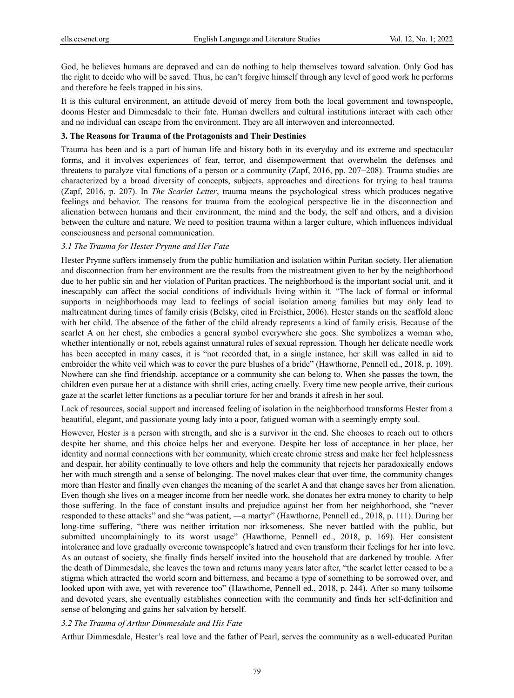God, he believes humans are depraved and can do nothing to help themselves toward salvation. Only God has the right to decide who will be saved. Thus, he can't forgive himself through any level of good work he performs and therefore he feels trapped in his sins.

It is this cultural environment, an attitude devoid of mercy from both the local government and townspeople, dooms Hester and Dimmesdale to their fate. Human dwellers and cultural institutions interact with each other and no individual can escape from the environment. They are all interwoven and interconnected.

# **3. The Reasons for Trauma of the Protagonists and Their Destinies**

Trauma has been and is a part of human life and history both in its everyday and its extreme and spectacular forms, and it involves experiences of fear, terror, and disempowerment that overwhelm the defenses and threatens to paralyze vital functions of a person or a community (Zapf, 2016, pp. 207−208). Trauma studies are characterized by a broad diversity of concepts, subjects, approaches and directions for trying to heal trauma (Zapf, 2016, p. 207). In *The Scarlet Letter*, trauma means the psychological stress which produces negative feelings and behavior. The reasons for trauma from the ecological perspective lie in the disconnection and alienation between humans and their environment, the mind and the body, the self and others, and a division between the culture and nature. We need to position trauma within a larger culture, which influences individual consciousness and personal communication.

#### *3.1 The Trauma for Hester Prynne and Her Fate*

Hester Prynne suffers immensely from the public humiliation and isolation within Puritan society. Her alienation and disconnection from her environment are the results from the mistreatment given to her by the neighborhood due to her public sin and her violation of Puritan practices. The neighborhood is the important social unit, and it inescapably can affect the social conditions of individuals living within it. "The lack of formal or informal supports in neighborhoods may lead to feelings of social isolation among families but may only lead to maltreatment during times of family crisis (Belsky, cited in Freisthier, 2006). Hester stands on the scaffold alone with her child. The absence of the father of the child already represents a kind of family crisis. Because of the scarlet A on her chest, she embodies a general symbol everywhere she goes. She symbolizes a woman who, whether intentionally or not, rebels against unnatural rules of sexual repression. Though her delicate needle work has been accepted in many cases, it is "not recorded that, in a single instance, her skill was called in aid to embroider the white veil which was to cover the pure blushes of a bride" (Hawthorne, Pennell ed., 2018, p. 109). Nowhere can she find friendship, acceptance or a community she can belong to. When she passes the town, the children even pursue her at a distance with shrill cries, acting cruelly. Every time new people arrive, their curious gaze at the scarlet letter functions as a peculiar torture for her and brands it afresh in her soul.

Lack of resources, social support and increased feeling of isolation in the neighborhood transforms Hester from a beautiful, elegant, and passionate young lady into a poor, fatigued woman with a seemingly empty soul.

However, Hester is a person with strength, and she is a survivor in the end. She chooses to reach out to others despite her shame, and this choice helps her and everyone. Despite her loss of acceptance in her place, her identity and normal connections with her community, which create chronic stress and make her feel helplessness and despair, her ability continually to love others and help the community that rejects her paradoxically endows her with much strength and a sense of belonging. The novel makes clear that over time, the community changes more than Hester and finally even changes the meaning of the scarlet A and that change saves her from alienation. Even though she lives on a meager income from her needle work, she donates her extra money to charity to help those suffering. In the face of constant insults and prejudice against her from her neighborhood, she "never responded to these attacks" and she "was patient, —a martyr" (Hawthorne, Pennell ed., 2018, p. 111). During her long-time suffering, "there was neither irritation nor irksomeness. She never battled with the public, but submitted uncomplainingly to its worst usage" (Hawthorne, Pennell ed., 2018, p. 169). Her consistent intolerance and love gradually overcome townspeople's hatred and even transform their feelings for her into love. As an outcast of society, she finally finds herself invited into the household that are darkened by trouble. After the death of Dimmesdale, she leaves the town and returns many years later after, "the scarlet letter ceased to be a stigma which attracted the world scorn and bitterness, and became a type of something to be sorrowed over, and looked upon with awe, yet with reverence too" (Hawthorne, Pennell ed., 2018, p. 244). After so many toilsome and devoted years, she eventually establishes connection with the community and finds her self-definition and sense of belonging and gains her salvation by herself.

#### *3.2 The Trauma of Arthur Dimmesdale and His Fate*

Arthur Dimmesdale, Hester's real love and the father of Pearl, serves the community as a well-educated Puritan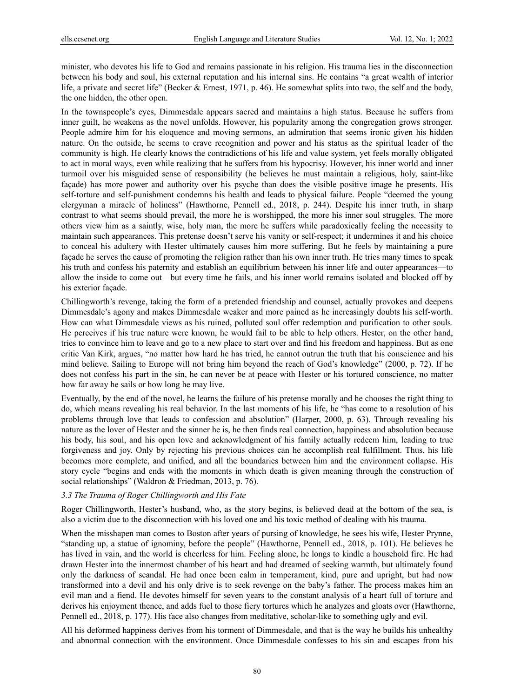minister, who devotes his life to God and remains passionate in his religion. His trauma lies in the disconnection between his body and soul, his external reputation and his internal sins. He contains "a great wealth of interior life, a private and secret life" (Becker & Ernest, 1971, p. 46). He somewhat splits into two, the self and the body, the one hidden, the other open.

In the townspeople's eyes, Dimmesdale appears sacred and maintains a high status. Because he suffers from inner guilt, he weakens as the novel unfolds. However, his popularity among the congregation grows stronger. People admire him for his eloquence and moving sermons, an admiration that seems ironic given his hidden nature. On the outside, he seems to crave recognition and power and his status as the spiritual leader of the community is high. He clearly knows the contradictions of his life and value system, yet feels morally obligated to act in moral ways, even while realizing that he suffers from his hypocrisy. However, his inner world and inner turmoil over his misguided sense of responsibility (he believes he must maintain a religious, holy, saint-like façade) has more power and authority over his psyche than does the visible positive image he presents. His self-torture and self-punishment condemns his health and leads to physical failure. People "deemed the young clergyman a miracle of holiness" (Hawthorne, Pennell ed., 2018, p. 244). Despite his inner truth, in sharp contrast to what seems should prevail, the more he is worshipped, the more his inner soul struggles. The more others view him as a saintly, wise, holy man, the more he suffers while paradoxically feeling the necessity to maintain such appearances. This pretense doesn't serve his vanity or self-respect; it undermines it and his choice to conceal his adultery with Hester ultimately causes him more suffering. But he feels by maintaining a pure façade he serves the cause of promoting the religion rather than his own inner truth. He tries many times to speak his truth and confess his paternity and establish an equilibrium between his inner life and outer appearances—to allow the inside to come out—but every time he fails, and his inner world remains isolated and blocked off by his exterior façade.

Chillingworth's revenge, taking the form of a pretended friendship and counsel, actually provokes and deepens Dimmesdale's agony and makes Dimmesdale weaker and more pained as he increasingly doubts his self-worth. How can what Dimmesdale views as his ruined, polluted soul offer redemption and purification to other souls. He perceives if his true nature were known, he would fail to be able to help others. Hester, on the other hand, tries to convince him to leave and go to a new place to start over and find his freedom and happiness. But as one critic Van Kirk, argues, "no matter how hard he has tried, he cannot outrun the truth that his conscience and his mind believe. Sailing to Europe will not bring him beyond the reach of God's knowledge" (2000, p. 72). If he does not confess his part in the sin, he can never be at peace with Hester or his tortured conscience, no matter how far away he sails or how long he may live.

Eventually, by the end of the novel, he learns the failure of his pretense morally and he chooses the right thing to do, which means revealing his real behavior. In the last moments of his life, he "has come to a resolution of his problems through love that leads to confession and absolution" (Harper, 2000, p. 63). Through revealing his nature as the lover of Hester and the sinner he is, he then finds real connection, happiness and absolution because his body, his soul, and his open love and acknowledgment of his family actually redeem him, leading to true forgiveness and joy. Only by rejecting his previous choices can he accomplish real fulfillment. Thus, his life becomes more complete, and unified, and all the boundaries between him and the environment collapse. His story cycle "begins and ends with the moments in which death is given meaning through the construction of social relationships" (Waldron & Friedman, 2013, p. 76).

# *3.3 The Trauma of Roger Chillingworth and His Fate*

Roger Chillingworth, Hester's husband, who, as the story begins, is believed dead at the bottom of the sea, is also a victim due to the disconnection with his loved one and his toxic method of dealing with his trauma.

When the misshapen man comes to Boston after years of pursing of knowledge, he sees his wife, Hester Prynne, "standing up, a statue of ignominy, before the people" (Hawthorne, Pennell ed., 2018, p. 101). He believes he has lived in vain, and the world is cheerless for him. Feeling alone, he longs to kindle a household fire. He had drawn Hester into the innermost chamber of his heart and had dreamed of seeking warmth, but ultimately found only the darkness of scandal. He had once been calm in temperament, kind, pure and upright, but had now transformed into a devil and his only drive is to seek revenge on the baby's father. The process makes him an evil man and a fiend. He devotes himself for seven years to the constant analysis of a heart full of torture and derives his enjoyment thence, and adds fuel to those fiery tortures which he analyzes and gloats over (Hawthorne, Pennell ed., 2018, p. 177). His face also changes from meditative, scholar-like to something ugly and evil.

All his deformed happiness derives from his torment of Dimmesdale, and that is the way he builds his unhealthy and abnormal connection with the environment. Once Dimmesdale confesses to his sin and escapes from his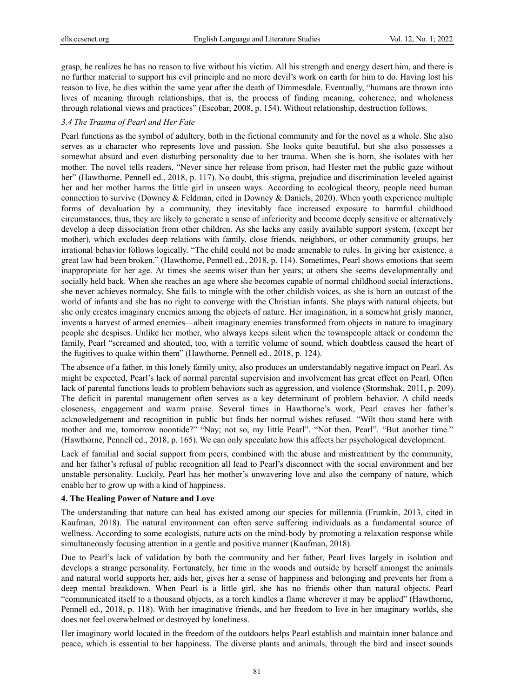grasp, he realizes he has no reason to live without his victim. All his strength and energy desert him, and there is no further material to support his evil principle and no more devil's work on earth for him to do. Having lost his reason to live, he dies within the same year after the death of Dimmesdale. Eventually, "humans are thrown into lives of meaning through relationships, that is, the process of finding meaning, coherence, and wholeness through relational views and practices" (Escobar, 2008, p. 154). Without relationship, destruction follows.

# *3.4 The Trauma of Pearl and Her Fate*

Pearl functions as the symbol of adultery, both in the fictional community and for the novel as a whole. She also serves as a character who represents love and passion. She looks quite beautiful, but she also possesses a somewhat absurd and even disturbing personality due to her trauma. When she is born, she isolates with her mother. The novel tells readers, "Never since her release from prison, had Hester met the public gaze without her" (Hawthorne, Pennell ed., 2018, p. 117). No doubt, this stigma, prejudice and discrimination leveled against her and her mother harms the little girl in unseen ways. According to ecological theory, people need human connection to survive (Downey & Feldman, cited in Downey & Daniels, 2020). When youth experience multiple forms of devaluation by a community, they inevitably face increased exposure to harmful childhood circumstances, thus, they are likely to generate a sense of inferiority and become deeply sensitive or alternatively develop a deep dissociation from other children. As she lacks any easily available support system, (except her mother), which excludes deep relations with family, close friends, neighbors, or other community groups, her irrational behavior follows logically. "The child could not be made amenable to rules. In giving her existence, a great law had been broken." (Hawthorne, Pennell ed., 2018, p. 114). Sometimes, Pearl shows emotions that seem inappropriate for her age. At times she seems wiser than her years; at others she seems developmentally and socially held back. When she reaches an age where she becomes capable of normal childhood social interactions, she never achieves normalcy. She fails to mingle with the other childish voices, as she is born an outcast of the world of infants and she has no right to converge with the Christian infants. She plays with natural objects, but she only creates imaginary enemies among the objects of nature. Her imagination, in a somewhat grisly manner, invents a harvest of armed enemies—albeit imaginary enemies transformed from objects in nature to imaginary people she despises. Unlike her mother, who always keeps silent when the townspeople attack or condemn the family, Pearl "screamed and shouted, too, with a terrific volume of sound, which doubtless caused the heart of the fugitives to quake within them" (Hawthorne, Pennell ed., 2018, p. 124).

The absence of a father, in this lonely family unity, also produces an understandably negative impact on Pearl. As might be expected, Pearl's lack of normal parental supervision and involvement has great effect on Pearl. Often lack of parental functions leads to problem behaviors such as aggression, and violence (Stormshak, 2011, p. 209). The deficit in parental management often serves as a key determinant of problem behavior. A child needs closeness, engagement and warm praise. Several times in Hawthorne's work, Pearl craves her father's acknowledgement and recognition in public but finds her normal wishes refused. "Wilt thou stand here with mother and me, tomorrow noontide?" "Nay; not so, my little Pearl". "Not then, Pearl". "But another time." (Hawthorne, Pennell ed., 2018, p. 165). We can only speculate how this affects her psychological development.

Lack of familial and social support from peers, combined with the abuse and mistreatment by the community, and her father's refusal of public recognition all lead to Pearl's disconnect with the social environment and her unstable personality. Luckily, Pearl has her mother's unwavering love and also the company of nature, which enable her to grow up with a kind of happiness.

### **4. The Healing Power of Nature and Love**

The understanding that nature can heal has existed among our species for millennia (Frumkin, 2013, cited in Kaufman, 2018). The natural environment can often serve suffering individuals as a fundamental source of wellness. According to some ecologists, nature acts on the mind-body by promoting a relaxation response while simultaneously focusing attention in a gentle and positive manner (Kaufman, 2018).

Due to Pearl's lack of validation by both the community and her father, Pearl lives largely in isolation and develops a strange personality. Fortunately, her time in the woods and outside by herself amongst the animals and natural world supports her, aids her, gives her a sense of happiness and belonging and prevents her from a deep mental breakdown. When Pearl is a little girl, she has no friends other than natural objects. Pearl "communicated itself to a thousand objects, as a torch kindles a flame wherever it may be applied" (Hawthorne, Pennell ed., 2018, p. 118). With her imaginative friends, and her freedom to live in her imaginary worlds, she does not feel overwhelmed or destroyed by loneliness.

Her imaginary world located in the freedom of the outdoors helps Pearl establish and maintain inner balance and peace, which is essential to her happiness. The diverse plants and animals, through the bird and insect sounds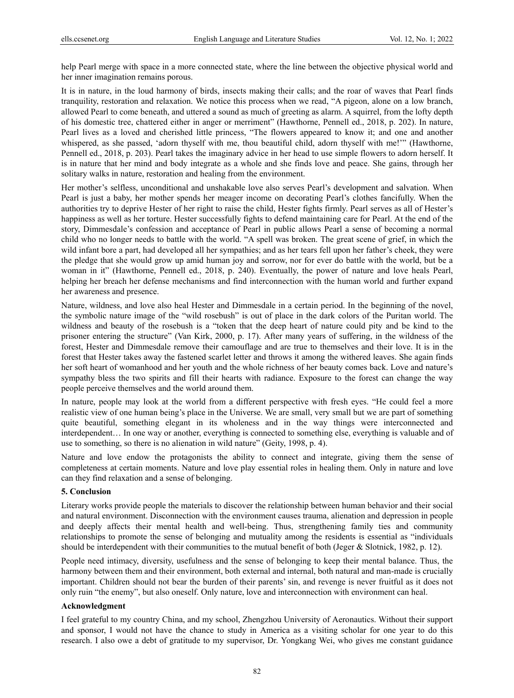help Pearl merge with space in a more connected state, where the line between the objective physical world and her inner imagination remains porous.

It is in nature, in the loud harmony of birds, insects making their calls; and the roar of waves that Pearl finds tranquility, restoration and relaxation. We notice this process when we read, "A pigeon, alone on a low branch, allowed Pearl to come beneath, and uttered a sound as much of greeting as alarm. A squirrel, from the lofty depth of his domestic tree, chattered either in anger or merriment" (Hawthorne, Pennell ed., 2018, p. 202). In nature, Pearl lives as a loved and cherished little princess, "The flowers appeared to know it; and one and another whispered, as she passed, 'adorn thyself with me, thou beautiful child, adorn thyself with me!'" (Hawthorne, Pennell ed., 2018, p. 203). Pearl takes the imaginary advice in her head to use simple flowers to adorn herself. It is in nature that her mind and body integrate as a whole and she finds love and peace. She gains, through her solitary walks in nature, restoration and healing from the environment.

Her mother's selfless, unconditional and unshakable love also serves Pearl's development and salvation. When Pearl is just a baby, her mother spends her meager income on decorating Pearl's clothes fancifully. When the authorities try to deprive Hester of her right to raise the child, Hester fights firmly. Pearl serves as all of Hester's happiness as well as her torture. Hester successfully fights to defend maintaining care for Pearl. At the end of the story, Dimmesdale's confession and acceptance of Pearl in public allows Pearl a sense of becoming a normal child who no longer needs to battle with the world. "A spell was broken. The great scene of grief, in which the wild infant bore a part, had developed all her sympathies; and as her tears fell upon her father's cheek, they were the pledge that she would grow up amid human joy and sorrow, nor for ever do battle with the world, but be a woman in it" (Hawthorne, Pennell ed., 2018, p. 240). Eventually, the power of nature and love heals Pearl, helping her breach her defense mechanisms and find interconnection with the human world and further expand her awareness and presence.

Nature, wildness, and love also heal Hester and Dimmesdale in a certain period. In the beginning of the novel, the symbolic nature image of the "wild rosebush" is out of place in the dark colors of the Puritan world. The wildness and beauty of the rosebush is a "token that the deep heart of nature could pity and be kind to the prisoner entering the structure" (Van Kirk, 2000, p. 17). After many years of suffering, in the wildness of the forest, Hester and Dimmesdale remove their camouflage and are true to themselves and their love. It is in the forest that Hester takes away the fastened scarlet letter and throws it among the withered leaves. She again finds her soft heart of womanhood and her youth and the whole richness of her beauty comes back. Love and nature's sympathy bless the two spirits and fill their hearts with radiance. Exposure to the forest can change the way people perceive themselves and the world around them.

In nature, people may look at the world from a different perspective with fresh eyes. "He could feel a more realistic view of one human being's place in the Universe. We are small, very small but we are part of something quite beautiful, something elegant in its wholeness and in the way things were interconnected and interdependent… In one way or another, everything is connected to something else, everything is valuable and of use to something, so there is no alienation in wild nature" (Geity, 1998, p. 4).

Nature and love endow the protagonists the ability to connect and integrate, giving them the sense of completeness at certain moments. Nature and love play essential roles in healing them. Only in nature and love can they find relaxation and a sense of belonging.

# **5. Conclusion**

Literary works provide people the materials to discover the relationship between human behavior and their social and natural environment. Disconnection with the environment causes trauma, alienation and depression in people and deeply affects their mental health and well-being. Thus, strengthening family ties and community relationships to promote the sense of belonging and mutuality among the residents is essential as "individuals should be interdependent with their communities to the mutual benefit of both (Jeger & Slotnick, 1982, p. 12).

People need intimacy, diversity, usefulness and the sense of belonging to keep their mental balance. Thus, the harmony between them and their environment, both external and internal, both natural and man-made is crucially important. Children should not bear the burden of their parents' sin, and revenge is never fruitful as it does not only ruin "the enemy", but also oneself. Only nature, love and interconnection with environment can heal.

# **Acknowledgment**

I feel grateful to my country China, and my school, Zhengzhou University of Aeronautics. Without their support and sponsor, I would not have the chance to study in America as a visiting scholar for one year to do this research. I also owe a debt of gratitude to my supervisor, Dr. Yongkang Wei, who gives me constant guidance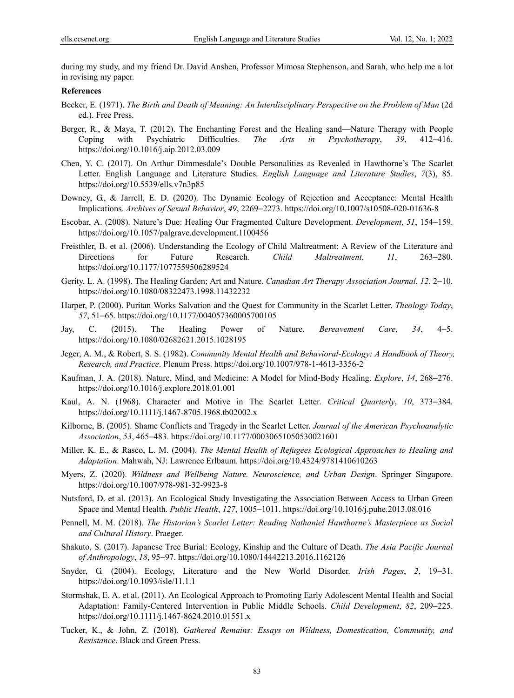during my study, and my friend Dr. David Anshen, Professor Mimosa Stephenson, and Sarah, who help me a lot in revising my paper.

# **References**

- Becker, E. (1971). *The Birth and Death of Meaning: An Interdisciplinary Perspective on the Problem of Man* (2d ed.). Free Press.
- Berger, R., & Maya, T. (2012). The Enchanting Forest and the Healing sand—Nature Therapy with People Coping with Psychiatric Difficulties. *The Arts in Psychotherapy*, *39*, 412−416. https://doi.org/10.1016/j.aip.2012.03.009
- Chen, Y. C. (2017). On Arthur Dimmesdale's Double Personalities as Revealed in Hawthorne's The Scarlet Letter. English Language and Literature Studies. *English Language and Literature Studies*, *7*(3), 85. https://doi.org/10.5539/ells.v7n3p85
- Downey, G., & Jarrell, E. D. (2020). The Dynamic Ecology of Rejection and Acceptance: Mental Health Implications. *Archives of Sexual Behavior*, *49*, 2269−2273. https://doi.org/10.1007/s10508-020-01636-8
- Escobar, A. (2008). Nature's Due: Healing Our Fragmented Culture Development. *Development*, *51*, 154−159. https://doi.org/10.1057/palgrave.development.1100456
- Freisthler, B. et al. (2006). Understanding the Ecology of Child Maltreatment: A Review of the Literature and Directions for Future Research. *Child Maltreatment*, *11*, 263−280. https://doi.org/10.1177/1077559506289524
- Gerity, L. A. (1998). The Healing Garden; Art and Nature. *Canadian Art Therapy Association Journal*, *12*, 2−10. https://doi.org/10.1080/08322473.1998.11432232
- Harper, P. (2000). Puritan Works Salvation and the Quest for Community in the Scarlet Letter. *Theology Today*, *57*, 51−65. https://doi.org/10.1177/004057360005700105
- Jay, C. (2015). The Healing Power of Nature. *Bereavement Care*, *34*, 4−5. https://doi.org/10.1080/02682621.2015.1028195
- Jeger, A. M., & Robert, S. S. (1982). *Community Mental Health and Behavioral-Ecology: A Handbook of Theory, Research, and Practice*. Plenum Press. https://doi.org/10.1007/978-1-4613-3356-2
- Kaufman, J. A. (2018). Nature, Mind, and Medicine: A Model for Mind-Body Healing. *Explore*, *14*, 268−276. https://doi.org/10.1016/j.explore.2018.01.001
- Kaul, A. N. (1968). Character and Motive in The Scarlet Letter. *Critical Quarterly*, *10*, 373−384. https://doi.org/10.1111/j.1467-8705.1968.tb02002.x
- Kilborne, B. (2005). Shame Conflicts and Tragedy in the Scarlet Letter. *Journal of the American Psychoanalytic Association*, *53*, 465−483. https://doi.org/10.1177/00030651050530021601
- Miller, K. E., & Rasco, L. M. (2004). *The Mental Health of Refugees Ecological Approaches to Healing and Adaptation*. Mahwah, NJ: Lawrence Erlbaum. https://doi.org/10.4324/9781410610263
- Myers, Z. (2020). *Wildness and Wellbeing Nature. Neuroscience, and Urban Design*. Springer Singapore. https://doi.org/10.1007/978-981-32-9923-8
- Nutsford, D. et al. (2013). An Ecological Study Investigating the Association Between Access to Urban Green Space and Mental Health. *Public Health*, *127*, 1005−1011. https://doi.org/10.1016/j.puhe.2013.08.016
- Pennell, M. M. (2018). *The Historian's Scarlet Letter: Reading Nathaniel Hawthorne's Masterpiece as Social and Cultural History*. Praeger.
- Shakuto, S. (2017). Japanese Tree Burial: Ecology, Kinship and the Culture of Death. *The Asia Pacific Journal of Anthropology*, *18*, 95−97. https://doi.org/10.1080/14442213.2016.1162126
- Snyder, G. (2004). Ecology, Literature and the New World Disorder. *Irish Pages*, *2*, 19−31. https://doi.org/10.1093/isle/11.1.1
- Stormshak, E. A. et al. (2011). An Ecological Approach to Promoting Early Adolescent Mental Health and Social Adaptation: Family-Centered Intervention in Public Middle Schools. *Child Development*, *82*, 209−225. https://doi.org/10.1111/j.1467-8624.2010.01551.x
- Tucker, K., & John, Z. (2018). *Gathered Remains: Essays on Wildness, Domestication, Community, and Resistance*. Black and Green Press.